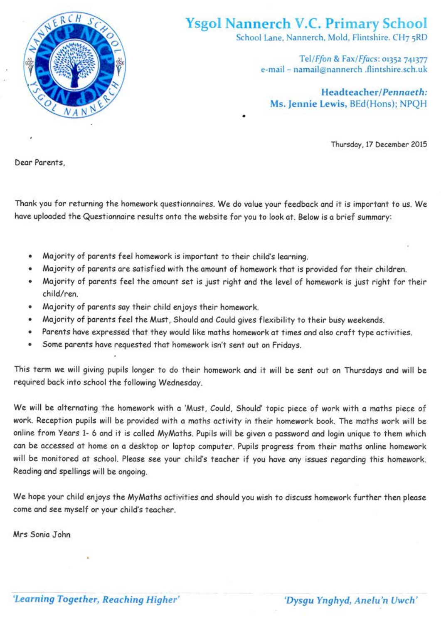

## **Ysgol Nannerch V.C. Primary School**

School Lane, Nannerch, Mold, Flintshire, CH7 5RD

Tel/Ffon & Fax/Ffacs: 01352 741377 e-mail - namail@nannerch .flintshire.sch.uk

Headteacher/Pennaeth: Ms. Jennie Lewis, BEd(Hons); NPQH

Thursday, 17 December 2015

Dear Parents,

Thank you for returning the homework questionnaires. We do value your feedback and it is important to us. We have uploaded the Questionnaire results onto the website for you to look at. Below is a brief summary:

- Majority of parents feel homework is important to their child's learning.
- Majority of parents are satisfied with the amount of homework that is provided for their children.
- Majority of parents feel the amount set is just right and the level of homework is just right for their child/ren.
- Majority of parents say their child enjoys their homework.
- Majority of parents feel the Must, Should and Could gives flexibility to their busy weekends.
- Parents have expressed that they would like maths homework at times and also craft type activities.  $\bullet$
- Some parents have requested that homework isn't sent out on Fridays.  $\bullet$

This term we will giving pupils longer to do their homework and it will be sent out on Thursdays and will be required back into school the following Wednesday.

We will be alternating the homework with a 'Must, Could, Should' topic piece of work with a maths piece of work. Reception pupils will be provided with a maths activity in their homework book. The maths work will be online from Years 1- 6 and it is called MyMaths. Pupils will be given a password and login unique to them which can be accessed at home on a desktop or laptop computer. Pupils progress from their maths online homework will be monitored at school. Please see your child's teacher if you have any issues regarding this homework. Reading and spellings will be ongoing.

We hope your child enjoys the MyMaths activities and should you wish to discuss homework further then please come and see myself or your child's teacher.

Mrs Sonia John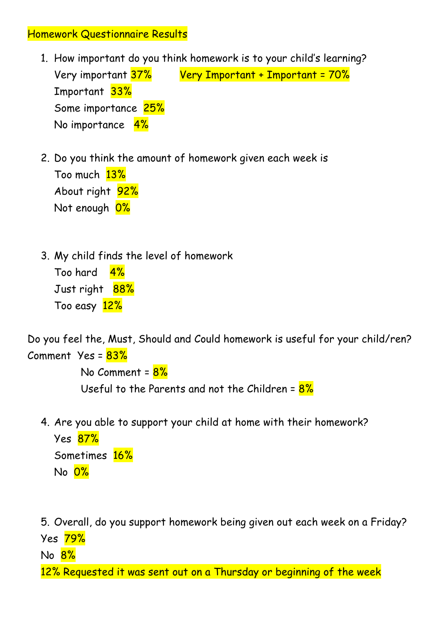## Homework Questionnaire Results

- 1. How important do you think homework is to your child's learning? Very important 37% Very Important + Important = 70% Important 33% Some importance 25% No importance 4%
- 2. Do you think the amount of homework given each week is Too much 13% About right 92% Not enough 0%
- 3. My child finds the level of homework Too hard 4% Just right 88% Too easy 12%

Do you feel the, Must, Should and Could homework is useful for your child/ren? Comment  $Yes = 83%$ 

> No Comment = 8% Useful to the Parents and not the Children =  $8\%$

4. Are you able to support your child at home with their homework?

Yes 87% Sometimes 16% No 0%

5. Overall, do you support homework being given out each week on a Friday? Yes 79% No 8% 12% Requested it was sent out on a Thursday or beginning of the week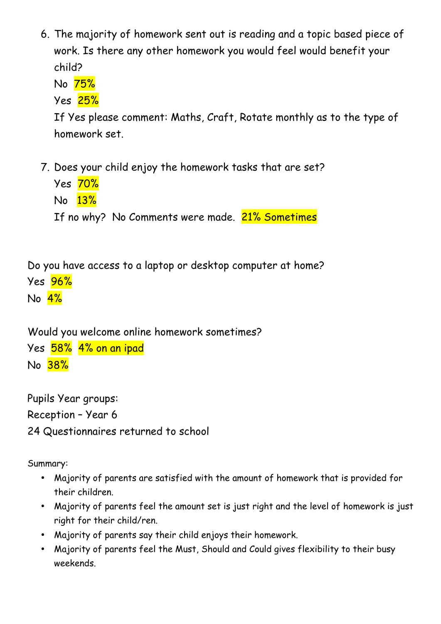6. The majority of homework sent out is reading and a topic based piece of work. Is there any other homework you would feel would benefit your child?

No 75%

Yes 25%

If Yes please comment: Maths, Craft, Rotate monthly as to the type of homework set.

- 7. Does your child enjoy the homework tasks that are set?
	- Yes 70% No 13% If no why? No Comments were made. 21% Sometimes

Do you have access to a laptop or desktop computer at home? Yes 96% No 4%

Would you welcome online homework sometimes? Yes 58% 4% on an ipad No 38%

Pupils Year groups: Reception – Year 6 24 Questionnaires returned to school

Summary:

- Majority of parents are satisfied with the amount of homework that is provided for their children.
- Majority of parents feel the amount set is just right and the level of homework is just right for their child/ren.
- Majority of parents say their child enjoys their homework.
- Majority of parents feel the Must, Should and Could gives flexibility to their busy weekends.